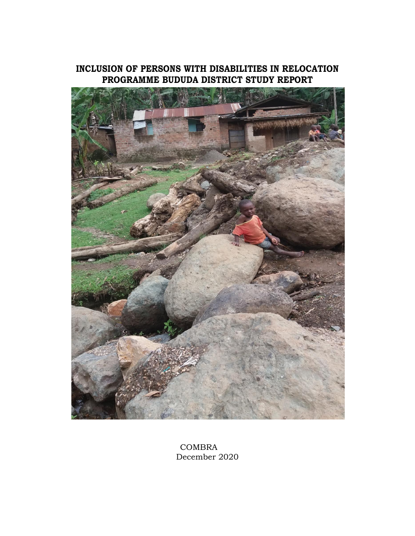# **INCLUSION OF PERSONS WITH DISABILITIES IN RELOCATION PROGRAMME BUDUDA DISTRICT STUDY REPORT**



 COMBRA December 2020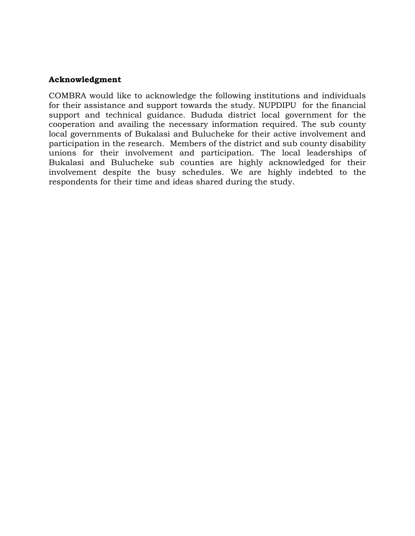#### **Acknowledgment**

COMBRA would like to acknowledge the following institutions and individuals for their assistance and support towards the study. NUPDIPU for the financial support and technical guidance. Bududa district local government for the cooperation and availing the necessary information required. The sub county local governments of Bukalasi and Bulucheke for their active involvement and participation in the research. Members of the district and sub county disability unions for their involvement and participation. The local leaderships of Bukalasi and Bulucheke sub counties are highly acknowledged for their involvement despite the busy schedules. We are highly indebted to the respondents for their time and ideas shared during the study.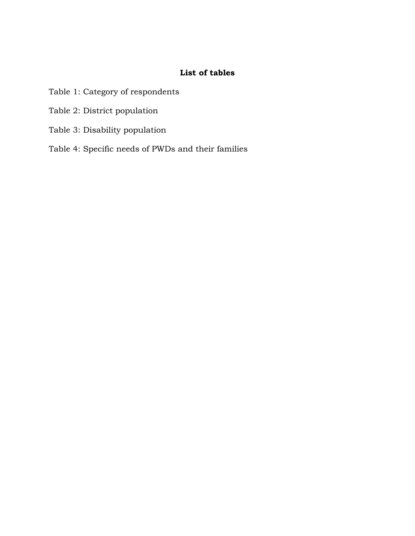# **List of tables**

- Table 1: Category of respondents
- Table 2: District population
- Table 3: Disability population
- Table 4: Specific needs of PWDs and their families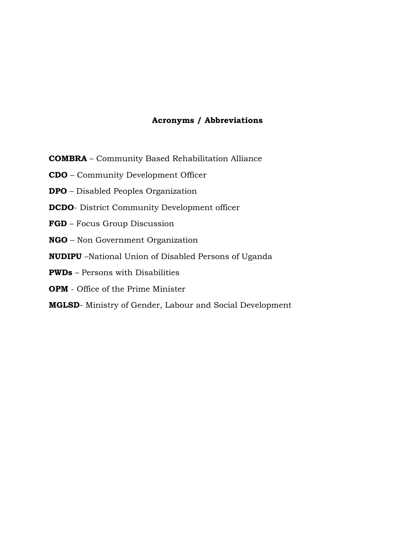#### **Acronyms / Abbreviations**

**COMBRA** – Community Based Rehabilitation Alliance

**CDO** – Community Development Officer

**DPO** – Disabled Peoples Organization

**DCDO**- District Community Development officer

**FGD** – Focus Group Discussion

**NGO** – Non Government Organization

**NUDIPU** –National Union of Disabled Persons of Uganda

**PWDs** – Persons with Disabilities

**OPM** - Office of the Prime Minister

**MGLSD**- Ministry of Gender, Labour and Social Development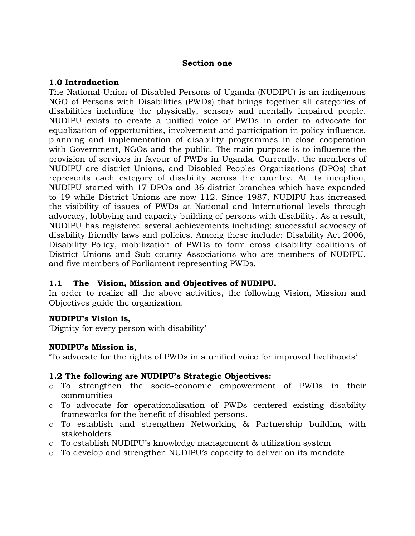#### **Section one**

## **1.0 Introduction**

The National Union of Disabled Persons of Uganda (NUDIPU) is an indigenous NGO of Persons with Disabilities (PWDs) that brings together all categories of disabilities including the physically, sensory and mentally impaired people. NUDIPU exists to create a unified voice of PWDs in order to advocate for equalization of opportunities, involvement and participation in policy influence, planning and implementation of disability programmes in close cooperation with Government, NGOs and the public. The main purpose is to influence the provision of services in favour of PWDs in Uganda. Currently, the members of NUDIPU are district Unions, and Disabled Peoples Organizations (DPOs) that represents each category of disability across the country. At its inception, NUDIPU started with 17 DPOs and 36 district branches which have expanded to 19 while District Unions are now 112. Since 1987, NUDIPU has increased the visibility of issues of PWDs at National and International levels through advocacy, lobbying and capacity building of persons with disability. As a result, NUDIPU has registered several achievements including; successful advocacy of disability friendly laws and policies. Among these include: Disability Act 2006, Disability Policy, mobilization of PWDs to form cross disability coalitions of District Unions and Sub county Associations who are members of NUDIPU, and five members of Parliament representing PWDs.

## **1.1 The Vision, Mission and Objectives of NUDIPU.**

In order to realize all the above activities, the following Vision, Mission and Objectives guide the organization.

#### **NUDIPU's Vision is,**

'Dignity for every person with disability'

## **NUDIPU's Mission is**,

'To advocate for the rights of PWDs in a unified voice for improved livelihoods'

## **1.2 The following are NUDIPU's Strategic Objectives:**

- o To strengthen the socio-economic empowerment of PWDs in their communities
- o To advocate for operationalization of PWDs centered existing disability frameworks for the benefit of disabled persons.
- o To establish and strengthen Networking & Partnership building with stakeholders.
- o To establish NUDIPU's knowledge management & utilization system
- o To develop and strengthen NUDIPU's capacity to deliver on its mandate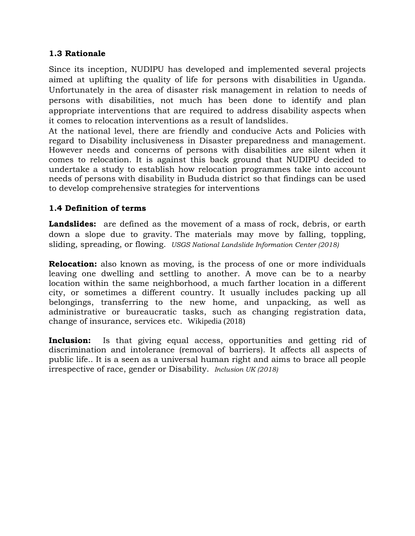### **1.3 Rationale**

Since its inception, NUDIPU has developed and implemented several projects aimed at uplifting the quality of life for persons with disabilities in Uganda. Unfortunately in the area of disaster risk management in relation to needs of persons with disabilities, not much has been done to identify and plan appropriate interventions that are required to address disability aspects when it comes to relocation interventions as a result of landslides.

At the national level, there are friendly and conducive Acts and Policies with regard to Disability inclusiveness in Disaster preparedness and management. However needs and concerns of persons with disabilities are silent when it comes to relocation. It is against this back ground that NUDIPU decided to undertake a study to establish how relocation programmes take into account needs of persons with disability in Bududa district so that findings can be used to develop comprehensive strategies for interventions

## **1.4 Definition of terms**

**Landslides:** are defined as the movement of a mass of rock, debris, or earth down a slope due to gravity. The materials may move by falling, toppling, sliding, spreading, or flowing. *USGS National Landslide Information Center (2018)*

**Relocation:** also known as moving, is the process of one or more individuals leaving one [dwelling](https://en.wikipedia.org/wiki/Dwelling) and [settling](https://en.wikipedia.org/wiki/Settler) to another. A move can be to a nearby location within the same [neighborhood,](https://en.wikipedia.org/wiki/Neighborhood) a much farther location in a different city, or sometimes [a different](https://en.wikipedia.org/wiki/Immigration) country. It usually includes packing up all belongings, transferring to the new home, and unpacking, as well as administrative or bureaucratic tasks, such as changing registration data, change of insurance, services etc. Wikipedia (2018)

**Inclusion:** Is that giving equal access, opportunities and getting rid of discrimination and intolerance (removal of barriers). It affects all aspects of public life.. It is a seen as a universal human right and aims to brace all people irrespective of race, gender or Disability. *Inclusion UK (2018)*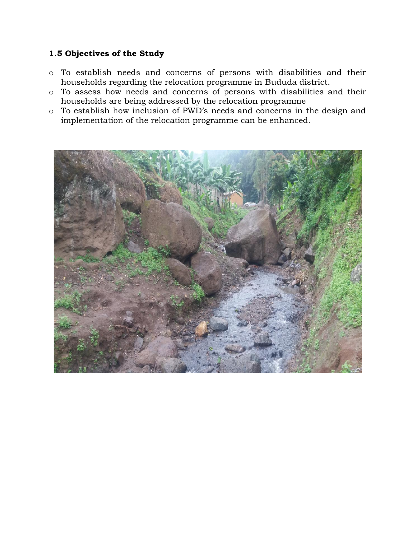# **1.5 Objectives of the Study**

- o To establish needs and concerns of persons with disabilities and their households regarding the relocation programme in Bududa district.
- o To assess how needs and concerns of persons with disabilities and their households are being addressed by the relocation programme
- o To establish how inclusion of PWD's needs and concerns in the design and implementation of the relocation programme can be enhanced.

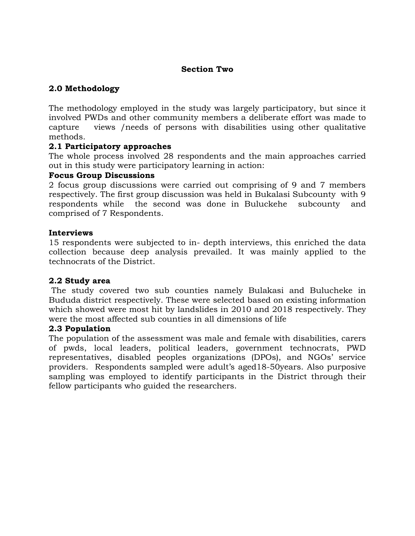## **Section Two**

## **2.0 Methodology**

The methodology employed in the study was largely participatory, but since it involved PWDs and other community members a deliberate effort was made to capture views /needs of persons with disabilities using other qualitative methods.

### **2.1 Participatory approaches**

The whole process involved 28 respondents and the main approaches carried out in this study were participatory learning in action:

#### **Focus Group Discussions**

2 focus group discussions were carried out comprising of 9 and 7 members respectively. The first group discussion was held in Bukalasi Subcounty with 9 respondents while the second was done in Buluckehe subcounty and comprised of 7 Respondents.

#### **Interviews**

15 respondents were subjected to in- depth interviews, this enriched the data collection because deep analysis prevailed. It was mainly applied to the technocrats of the District.

#### **2.2 Study area**

The study covered two sub counties namely Bulakasi and Bulucheke in Bududa district respectively. These were selected based on existing information which showed were most hit by landslides in 2010 and 2018 respectively. They were the most affected sub counties in all dimensions of life

#### **2.3 Population**

The population of the assessment was male and female with disabilities, carers of pwds, local leaders, political leaders, government technocrats, PWD representatives, disabled peoples organizations (DPOs), and NGOs' service providers. Respondents sampled were adult's aged18-50years. Also purposive sampling was employed to identify participants in the District through their fellow participants who guided the researchers.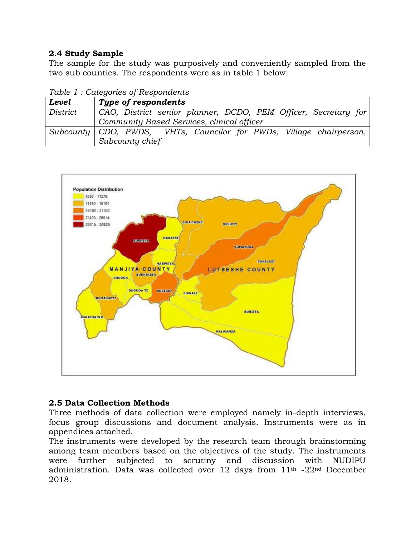# **2.4 Study Sample**

The sample for the study was purposively and conveniently sampled from the two sub counties. The respondents were as in table 1 below:

|  | Table 1: Categories of Respondents |  |  |
|--|------------------------------------|--|--|
|--|------------------------------------|--|--|

| Level    | Type of respondents                                                   |  |  |  |  |
|----------|-----------------------------------------------------------------------|--|--|--|--|
| District | CAO, District senior planner, DCDO, PEM Officer, Secretary for        |  |  |  |  |
|          | Community Based Services, clinical officer                            |  |  |  |  |
|          | Subcounty   CDO, PWDS, VHTs, Councilor for PWDs, Village chairperson, |  |  |  |  |
|          | Subcounty chief                                                       |  |  |  |  |



## **2.5 Data Collection Methods**

Three methods of data collection were employed namely in-depth interviews, focus group discussions and document analysis. Instruments were as in appendices attached.

The instruments were developed by the research team through brainstorming among team members based on the objectives of the study. The instruments were further subjected to scrutiny and discussion with NUDIPU administration. Data was collected over 12 days from 11th -22nd December 2018.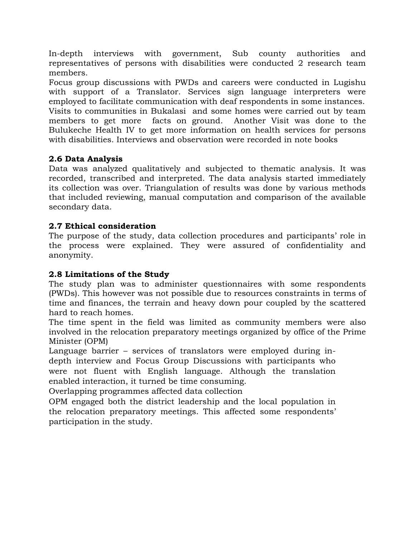In-depth interviews with government, Sub county authorities and representatives of persons with disabilities were conducted 2 research team members.

Focus group discussions with PWDs and careers were conducted in Lugishu with support of a Translator. Services sign language interpreters were employed to facilitate communication with deaf respondents in some instances. Visits to communities in Bukalasi and some homes were carried out by team members to get more facts on ground. Another Visit was done to the Bulukeche Health IV to get more information on health services for persons with disabilities. Interviews and observation were recorded in note books

## **2.6 Data Analysis**

Data was analyzed qualitatively and subjected to thematic analysis. It was recorded, transcribed and interpreted. The data analysis started immediately its collection was over. Triangulation of results was done by various methods that included reviewing, manual computation and comparison of the available secondary data.

# **2.7 Ethical consideration**

The purpose of the study, data collection procedures and participants' role in the process were explained. They were assured of confidentiality and anonymity.

## **2.8 Limitations of the Study**

The study plan was to administer questionnaires with some respondents (PWDs). This however was not possible due to resources constraints in terms of time and finances, the terrain and heavy down pour coupled by the scattered hard to reach homes.

The time spent in the field was limited as community members were also involved in the relocation preparatory meetings organized by office of the Prime Minister (OPM)

Language barrier – services of translators were employed during indepth interview and Focus Group Discussions with participants who were not fluent with English language. Although the translation enabled interaction, it turned be time consuming.

Overlapping programmes affected data collection

OPM engaged both the district leadership and the local population in the relocation preparatory meetings. This affected some respondents' participation in the study.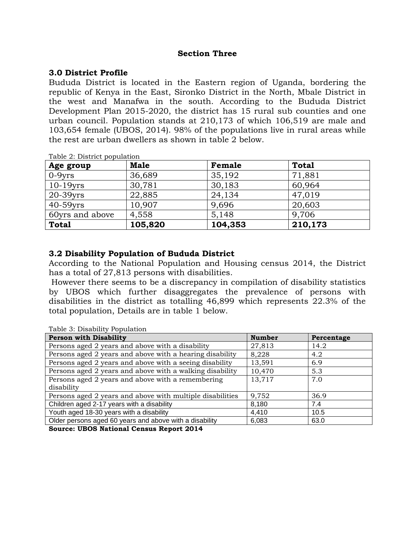#### **Section Three**

#### **3.0 District Profile**

Bududa District is located in the Eastern region of Uganda, bordering the republic of Kenya in the East, Sironko District in the North, Mbale District in the west and Manafwa in the south. According to the Bududa District Development Plan 2015-2020, the district has 15 rural sub counties and one urban council. Population stands at 210,173 of which 106,519 are male and 103,654 female (UBOS, 2014). 98% of the populations live in rural areas while the rest are urban dwellers as shown in table 2 below.

| rable 2. District population |             |         |              |  |  |
|------------------------------|-------------|---------|--------------|--|--|
| Age group                    | <b>Male</b> | Female  | <b>Total</b> |  |  |
| $0-9yrs$                     | 36,689      | 35,192  | 71,881       |  |  |
| $10-19$ yrs                  | 30,781      | 30,183  | 60,964       |  |  |
| $20-39$ yrs                  | 22,885      | 24,134  | 47,019       |  |  |
| $40 - 59$ yrs                | 10,907      | 9,696   | 20,603       |  |  |
| 60yrs and above              | 4,558       | 5,148   | 9,706        |  |  |
| <b>Total</b>                 | 105,820     | 104,353 | 210,173      |  |  |

Table 2: District population

#### **3.2 Disability Population of Bududa District**

According to the National Population and Housing census 2014, the District has a total of 27,813 persons with disabilities.

However there seems to be a discrepancy in compilation of disability statistics by UBOS which further disaggregates the prevalence of persons with disabilities in the district as totalling 46,899 which represents 22.3% of the total population, Details are in table 1 below.

Table 3: Disability Population

| <b>Person with Disability</b>                             | <b>Number</b> | Percentage |
|-----------------------------------------------------------|---------------|------------|
| Persons aged 2 years and above with a disability          | 27,813        | 14.2       |
| Persons aged 2 years and above with a hearing disability  | 8,228         | 4.2        |
| Persons aged 2 years and above with a seeing disability   | 13,591        | 6.9        |
| Persons aged 2 years and above with a walking disability  | 10,470        | 5.3        |
| Persons aged 2 years and above with a remembering         | 13,717        | 7.0        |
| disability                                                |               |            |
| Persons aged 2 years and above with multiple disabilities | 9,752         | 36.9       |
| Children aged 2-17 years with a disability                | 8,180         | 7.4        |
| Youth aged 18-30 years with a disability                  | 4,410         | 10.5       |
| Older persons aged 60 years and above with a disability   | 6,083         | 63.0       |

**Source: UBOS National Census Report 2014**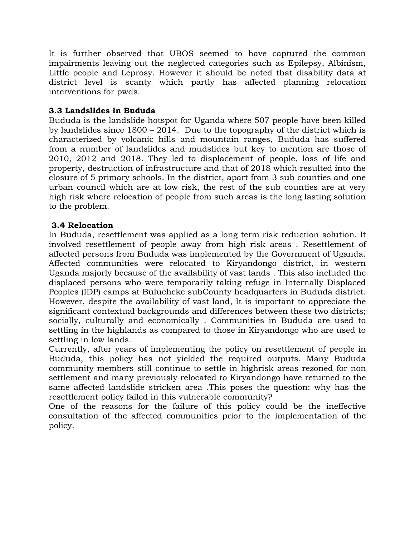It is further observed that UBOS seemed to have captured the common impairments leaving out the neglected categories such as Epilepsy, Albinism, Little people and Leprosy. However it should be noted that disability data at district level is scanty which partly has affected planning relocation interventions for pwds.

# **3.3 Landslides in Bududa**

Bududa is the landslide hotspot for Uganda where 507 people have been killed by landslides since 1800 – 2014. Due to the topography of the district which is characterized by volcanic hills and mountain ranges, Bududa has suffered from a number of landslides and mudslides but key to mention are those of 2010, 2012 and 2018. They led to displacement of people, loss of life and property, destruction of infrastructure and that of 2018 which resulted into the closure of 5 primary schools. In the district, apart from 3 sub counties and one urban council which are at low risk, the rest of the sub counties are at very high risk where relocation of people from such areas is the long lasting solution to the problem.

# **3.4 Relocation**

In Bududa, resettlement was applied as a long term risk reduction solution. It involved resettlement of people away from high risk areas . Resettlement of affected persons from Bududa was implemented by the Government of Uganda. Affected communities were relocated to Kiryandongo district, in western Uganda majorly because of the availability of vast lands . This also included the displaced persons who were temporarily taking refuge in Internally Displaced Peoples (IDP) camps at Bulucheke subCounty headquarters in Bududa district. However, despite the availability of vast land, It is important to appreciate the significant contextual backgrounds and differences between these two districts; socially, culturally and economically . Communities in Bududa are used to settling in the highlands as compared to those in Kiryandongo who are used to settling in low lands.

Currently, after years of implementing the policy on resettlement of people in Bududa, this policy has not yielded the required outputs. Many Bududa community members still continue to settle in highrisk areas rezoned for non settlement and many previously relocated to Kiryandongo have returned to the same affected landslide stricken area .This poses the question: why has the resettlement policy failed in this vulnerable community?

One of the reasons for the failure of this policy could be the ineffective consultation of the affected communities prior to the implementation of the policy.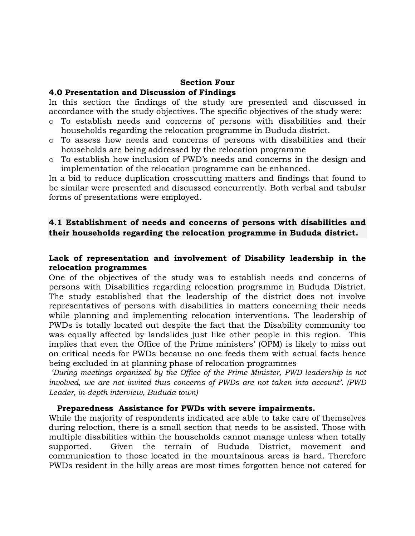#### **Section Four**

#### **4.0 Presentation and Discussion of Findings**

In this section the findings of the study are presented and discussed in accordance with the study objectives. The specific objectives of the study were:

- o To establish needs and concerns of persons with disabilities and their households regarding the relocation programme in Bududa district.
- o To assess how needs and concerns of persons with disabilities and their households are being addressed by the relocation programme
- o To establish how inclusion of PWD's needs and concerns in the design and implementation of the relocation programme can be enhanced.

In a bid to reduce duplication crosscutting matters and findings that found to be similar were presented and discussed concurrently. Both verbal and tabular forms of presentations were employed.

#### **4.1 Establishment of needs and concerns of persons with disabilities and their households regarding the relocation programme in Bududa district.**

#### **Lack of representation and involvement of Disability leadership in the relocation programmes**

One of the objectives of the study was to establish needs and concerns of persons with Disabilities regarding relocation programme in Bududa District. The study established that the leadership of the district does not involve representatives of persons with disabilities in matters concerning their needs while planning and implementing relocation interventions. The leadership of PWDs is totally located out despite the fact that the Disability community too was equally affected by landslides just like other people in this region. This implies that even the Office of the Prime ministers' (OPM) is likely to miss out on critical needs for PWDs because no one feeds them with actual facts hence being excluded in at planning phase of relocation programmes

*'During meetings organized by the Office of the Prime Minister, PWD leadership is not involved, we are not invited thus concerns of PWDs are not taken into account'. (PWD Leader, in-depth interview, Bududa town)* 

#### **Preparedness Assistance for PWDs with severe impairments.**

While the majority of respondents indicated are able to take care of themselves during reloction, there is a small section that needs to be assisted. Those with multiple disabilities within the households cannot manage unless when totally supported. Given the terrain of Bududa District, movement and communication to those located in the mountainous areas is hard. Therefore PWDs resident in the hilly areas are most times forgotten hence not catered for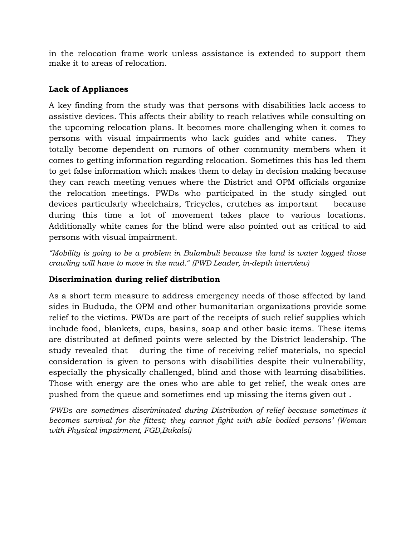in the relocation frame work unless assistance is extended to support them make it to areas of relocation.

# **Lack of Appliances**

A key finding from the study was that persons with disabilities lack access to assistive devices. This affects their ability to reach relatives while consulting on the upcoming relocation plans. It becomes more challenging when it comes to persons with visual impairments who lack guides and white canes. They totally become dependent on rumors of other community members when it comes to getting information regarding relocation. Sometimes this has led them to get false information which makes them to delay in decision making because they can reach meeting venues where the District and OPM officials organize the relocation meetings. PWDs who participated in the study singled out devices particularly wheelchairs, Tricycles, crutches as important because during this time a lot of movement takes place to various locations. Additionally white canes for the blind were also pointed out as critical to aid persons with visual impairment.

*"Mobility is going to be a problem in Bulambuli because the land is water logged those crawling will have to move in the mud." (PWD Leader, in-depth interview)* 

# **Discrimination during relief distribution**

As a short term measure to address emergency needs of those affected by land sides in Bududa, the OPM and other humanitarian organizations provide some relief to the victims. PWDs are part of the receipts of such relief supplies which include food, blankets, cups, basins, soap and other basic items. These items are distributed at defined points were selected by the District leadership. The study revealed that during the time of receiving relief materials, no special consideration is given to persons with disabilities despite their vulnerability, especially the physically challenged, blind and those with learning disabilities. Those with energy are the ones who are able to get relief, the weak ones are pushed from the queue and sometimes end up missing the items given out .

*'PWDs are sometimes discriminated during Distribution of relief because sometimes it becomes survival for the fittest; they cannot fight with able bodied persons' (Woman with Physical impairment, FGD,Bukalsi)*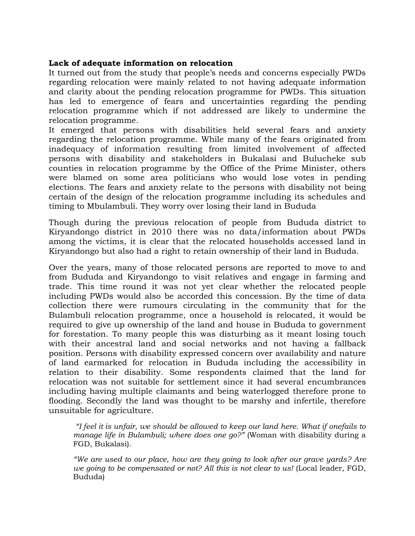#### **Lack of adequate information on relocation**

It turned out from the study that people's needs and concerns especially PWDs regarding relocation were mainly related to not having adequate information and clarity about the pending relocation programme for PWDs. This situation has led to emergence of fears and uncertainties regarding the pending relocation programme which if not addressed are likely to undermine the relocation programme.

It emerged that persons with disabilities held several fears and anxiety regarding the relocation programme. While many of the fears originated from inadequacy of information resulting from limited involvement of affected persons with disability and stakeholders in Bukalasi and Bulucheke sub counties in relocation programme by the Office of the Prime Minister, others were blamed on some area politicians who would lose votes in pending elections. The fears and anxiety relate to the persons with disability not being certain of the design of the relocation programme including its schedules and timing to Mbulambuli. They worry over losing their land in Bududa

Though during the previous relocation of people from Bududa district to Kiryandongo district in 2010 there was no data/information about PWDs among the victims, it is clear that the relocated households accessed land in Kiryandongo but also had a right to retain ownership of their land in Bududa.

Over the years, many of those relocated persons are reported to move to and from Bududa and Kiryandongo to visit relatives and engage in farming and trade. This time round it was not yet clear whether the relocated people including PWDs would also be accorded this concession. By the time of data collection there were rumours circulating in the community that for the Bulambuli relocation programme, once a household is relocated, it would be required to give up ownership of the land and house in Bududa to government for forestation. To many people this was disturbing as it meant losing touch with their ancestral land and social networks and not having a fallback position. Persons with disability expressed concern over availability and nature of land earmarked for relocation in Bududa including the accessibility in relation to their disability. Some respondents claimed that the land for relocation was not suitable for settlement since it had several encumbrances including having multiple claimants and being waterlogged therefore prone to flooding. Secondly the land was thought to be marshy and infertile, therefore unsuitable for agriculture.

*"I feel it is unfair, we should be allowed to keep our land here. What if onefails to manage life in Bulambuli; where does one go?*" (Woman with disability during a FGD, Bukalasi).

*"We are used to our place, how are they going to look after our grave yards? Are we going to be compensated or not? All this is not clear to us!* (Local leader, FGD, Bududa)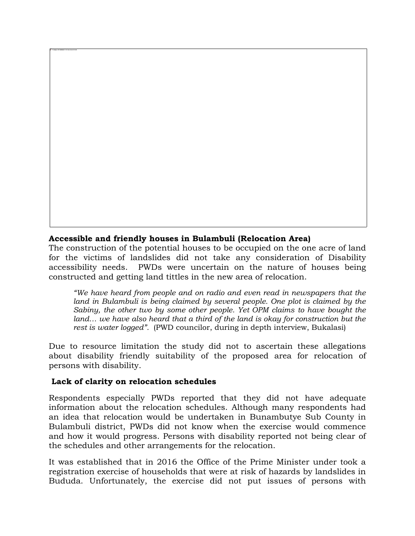### **Accessible and friendly houses in Bulambuli (Relocation Area)**

The construction of the potential houses to be occupied on the one acre of land for the victims of landslides did not take any consideration of Disability accessibility needs. PWDs were uncertain on the nature of houses being constructed and getting land tittles in the new area of relocation.

*"We have heard from people and on radio and even read in newspapers that the*  land in Bulambuli is being claimed by several people. One plot is claimed by the *Sabiny, the other two by some other people. Yet OPM claims to have bought the land... we have also heard that a third of the land is okay for construction but the rest is water logged".* (PWD councilor, during in depth interview, Bukalasi)

Due to resource limitation the study did not to ascertain these allegations about disability friendly suitability of the proposed area for relocation of persons with disability.

#### **Lack of clarity on relocation schedules**

Respondents especially PWDs reported that they did not have adequate information about the relocation schedules. Although many respondents had an idea that relocation would be undertaken in Bunambutye Sub County in Bulambuli district, PWDs did not know when the exercise would commence and how it would progress. Persons with disability reported not being clear of the schedules and other arrangements for the relocation.

It was established that in 2016 the Office of the Prime Minister under took a registration exercise of households that were at risk of hazards by landslides in Bududa. Unfortunately, the exercise did not put issues of persons with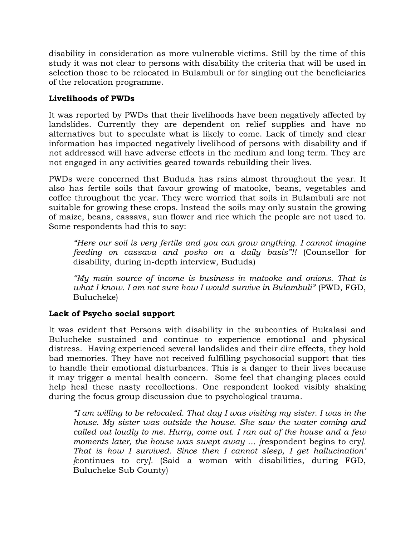disability in consideration as more vulnerable victims. Still by the time of this study it was not clear to persons with disability the criteria that will be used in selection those to be relocated in Bulambuli or for singling out the beneficiaries of the relocation programme.

# **Livelihoods of PWDs**

It was reported by PWDs that their livelihoods have been negatively affected by landslides. Currently they are dependent on relief supplies and have no alternatives but to speculate what is likely to come. Lack of timely and clear information has impacted negatively livelihood of persons with disability and if not addressed will have adverse effects in the medium and long term. They are not engaged in any activities geared towards rebuilding their lives.

PWDs were concerned that Bududa has rains almost throughout the year. It also has fertile soils that favour growing of matooke, beans, vegetables and coffee throughout the year. They were worried that soils in Bulambuli are not suitable for growing these crops. Instead the soils may only sustain the growing of maize, beans, cassava, sun flower and rice which the people are not used to. Some respondents had this to say:

*"Here our soil is very fertile and you can grow anything. I cannot imagine feeding on cassava and posho on a daily basis"!!* (Counsellor for disability, during in-depth interview, Bududa)

*"My main source of income is business in matooke and onions. That is what I know. I am not sure how I would survive in Bulambuli"* (PWD, FGD, Bulucheke)

# **Lack of Psycho social support**

It was evident that Persons with disability in the subconties of Bukalasi and Bulucheke sustained and continue to experience emotional and physical distress. Having experienced several landslides and their dire effects, they hold bad memories. They have not received fulfilling psychosocial support that ties to handle their emotional disturbances. This is a danger to their lives because it may trigger a mental health concern. Some feel that changing places could help heal these nasty recollections. One respondent looked visibly shaking during the focus group discussion due to psychological trauma.

*"I am willing to be relocated. That day I was visiting my sister. I was in the house. My sister was outside the house. She saw the water coming and called out loudly to me. Hurry, come out. I ran out of the house and a few moments later, the house was swept away … [*respondent begins to cry*]. That is how I survived. Since then I cannot sleep, I get hallucination' [*continues to cry*].* (Said a woman with disabilities, during FGD, Bulucheke Sub County)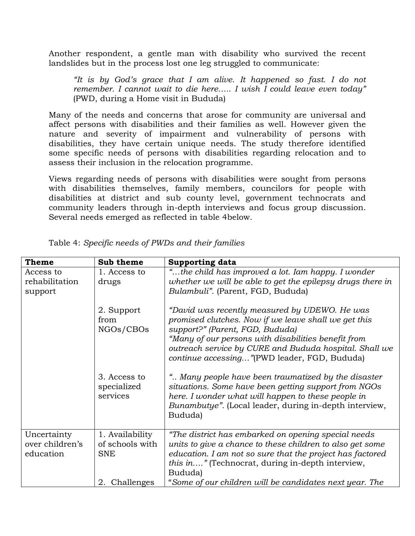Another respondent, a gentle man with disability who survived the recent landslides but in the process lost one leg struggled to communicate:

*"It is by God's grace that I am alive. It happened so fast. I do not remember. I cannot wait to die here….. I wish I could leave even today"*  (PWD, during a Home visit in Bududa)

Many of the needs and concerns that arose for community are universal and affect persons with disabilities and their families as well. However given the nature and severity of impairment and vulnerability of persons with disabilities, they have certain unique needs. The study therefore identified some specific needs of persons with disabilities regarding relocation and to assess their inclusion in the relocation programme.

Views regarding needs of persons with disabilities were sought from persons with disabilities themselves, family members, councilors for people with disabilities at district and sub county level, government technocrats and community leaders through in-depth interviews and focus group discussion. Several needs emerged as reflected in table 4below.

| Theme                                       | Sub theme                                        | <b>Supporting data</b>                                                                                                                                                                                                                                                                                     |
|---------------------------------------------|--------------------------------------------------|------------------------------------------------------------------------------------------------------------------------------------------------------------------------------------------------------------------------------------------------------------------------------------------------------------|
| Access to                                   | 1. Access to                                     | "the child has improved a lot. Iam happy. I wonder                                                                                                                                                                                                                                                         |
| rehabilitation                              | drugs                                            | whether we will be able to get the epilepsy drugs there in                                                                                                                                                                                                                                                 |
| support                                     |                                                  | Bulambuli". (Parent, FGD, Bududa)                                                                                                                                                                                                                                                                          |
|                                             | 2. Support<br>from<br>NGOs/CBOs                  | "David was recently measured by UDEWO. He was<br>promised clutches. Now if we leave shall we get this<br>support?" (Parent, FGD, Bududa)<br>"Many of our persons with disabilities benefit from<br>outreach service by CURE and Bududa hospital. Shall we<br>continue accessing "(PWD leader, FGD, Bududa) |
|                                             | 3. Access to<br>specialized<br>services          | " Many people have been traumatized by the disaster<br>situations. Some have been getting support from NGOs<br>here. I wonder what will happen to these people in<br>Bunambutye". (Local leader, during in-depth interview,<br>Bududa)                                                                     |
| Uncertainty<br>over children's<br>education | 1. Availability<br>of schools with<br><b>SNE</b> | "The district has embarked on opening special needs<br>units to give a chance to these children to also get some<br>education. I am not so sure that the project has factored<br>this in" (Technocrat, during in-depth interview,<br>Bududa)                                                               |
|                                             | Challenges<br>2.                                 | "Some of our children will be candidates next year. The                                                                                                                                                                                                                                                    |

Table 4: *Specific needs of PWDs and their families*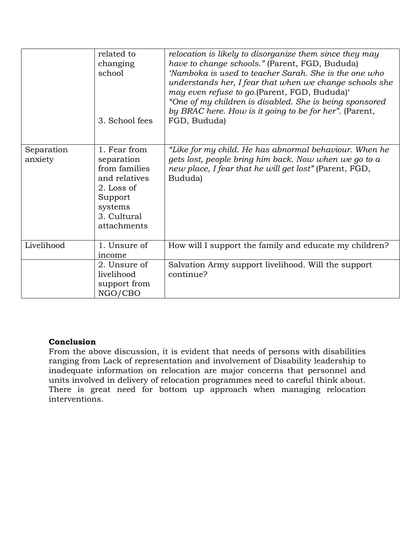|                       | related to<br>changing<br>school<br>3. School fees                                                                             | relocation is likely to disorganize them since they may<br>have to change schools." (Parent, FGD, Bududa)<br>'Namboka is used to teacher Sarah. She is the one who<br>understands her, I fear that when we change schools she<br>may even refuse to go.(Parent, FGD, Bududa)'<br>"One of my children is disabled. She is being sponsored<br>by BRAC here. How is it going to be for her". (Parent,<br>FGD, Bududa) |
|-----------------------|--------------------------------------------------------------------------------------------------------------------------------|--------------------------------------------------------------------------------------------------------------------------------------------------------------------------------------------------------------------------------------------------------------------------------------------------------------------------------------------------------------------------------------------------------------------|
| Separation<br>anxiety | 1. Fear from<br>separation<br>from families<br>and relatives<br>2. Loss of<br>Support<br>systems<br>3. Cultural<br>attachments | "Like for my child. He has abnormal behaviour. When he<br>gets lost, people bring him back. Now when we go to a<br>new place, I fear that he will get lost" (Parent, FGD,<br>Bududa)                                                                                                                                                                                                                               |
| Livelihood            | 1. Unsure of<br>income                                                                                                         | How will I support the family and educate my children?                                                                                                                                                                                                                                                                                                                                                             |
|                       | 2. Unsure of<br>livelihood                                                                                                     | Salvation Army support livelihood. Will the support<br>continue?                                                                                                                                                                                                                                                                                                                                                   |
|                       | support from<br>NGO/CBO                                                                                                        |                                                                                                                                                                                                                                                                                                                                                                                                                    |

#### **Conclusion**

From the above discussion, it is evident that needs of persons with disabilities ranging from Lack of representation and involvement of Disability leadership to inadequate information on relocation are major concerns that personnel and units involved in delivery of relocation programmes need to careful think about. There is great need for bottom up approach when managing relocation interventions.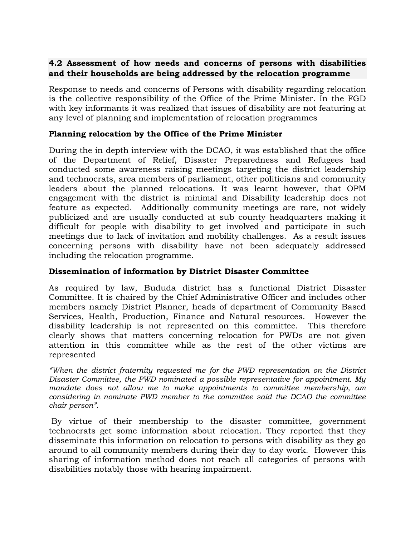## **4.2 Assessment of how needs and concerns of persons with disabilities and their households are being addressed by the relocation programme**

Response to needs and concerns of Persons with disability regarding relocation is the collective responsibility of the Office of the Prime Minister. In the FGD with key informants it was realized that issues of disability are not featuring at any level of planning and implementation of relocation programmes

## **Planning relocation by the Office of the Prime Minister**

During the in depth interview with the DCAO, it was established that the office of the Department of Relief, Disaster Preparedness and Refugees had conducted some awareness raising meetings targeting the district leadership and technocrats, area members of parliament, other politicians and community leaders about the planned relocations. It was learnt however, that OPM engagement with the district is minimal and Disability leadership does not feature as expected. Additionally community meetings are rare, not widely publicized and are usually conducted at sub county headquarters making it difficult for people with disability to get involved and participate in such meetings due to lack of invitation and mobility challenges. As a result issues concerning persons with disability have not been adequately addressed including the relocation programme.

## **Dissemination of information by District Disaster Committee**

As required by law, Bududa district has a functional District Disaster Committee. It is chaired by the Chief Administrative Officer and includes other members namely District Planner, heads of department of Community Based Services, Health, Production, Finance and Natural resources. However the disability leadership is not represented on this committee. This therefore clearly shows that matters concerning relocation for PWDs are not given attention in this committee while as the rest of the other victims are represented

*"When the district fraternity requested me for the PWD representation on the District Disaster Committee, the PWD nominated a possible representative for appointment. My mandate does not allow me to make appointments to committee membership, am considering in nominate PWD member to the committee said the DCAO the committee chair person".* 

By virtue of their membership to the disaster committee, government technocrats get some information about relocation. They reported that they disseminate this information on relocation to persons with disability as they go around to all community members during their day to day work. However this sharing of information method does not reach all categories of persons with disabilities notably those with hearing impairment.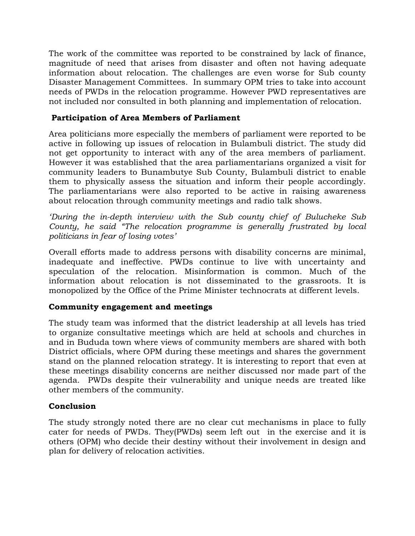The work of the committee was reported to be constrained by lack of finance, magnitude of need that arises from disaster and often not having adequate information about relocation. The challenges are even worse for Sub county Disaster Management Committees. In summary OPM tries to take into account needs of PWDs in the relocation programme. However PWD representatives are not included nor consulted in both planning and implementation of relocation.

# **Participation of Area Members of Parliament**

Area politicians more especially the members of parliament were reported to be active in following up issues of relocation in Bulambuli district. The study did not get opportunity to interact with any of the area members of parliament. However it was established that the area parliamentarians organized a visit for community leaders to Bunambutye Sub County, Bulambuli district to enable them to physically assess the situation and inform their people accordingly. The parliamentarians were also reported to be active in raising awareness about relocation through community meetings and radio talk shows.

*'During the in-depth interview with the Sub county chief of Bulucheke Sub County, he said "The relocation programme is generally frustrated by local politicians in fear of losing votes'*

Overall efforts made to address persons with disability concerns are minimal, inadequate and ineffective. PWDs continue to live with uncertainty and speculation of the relocation. Misinformation is common. Much of the information about relocation is not disseminated to the grassroots. It is monopolized by the Office of the Prime Minister technocrats at different levels.

## **Community engagement and meetings**

The study team was informed that the district leadership at all levels has tried to organize consultative meetings which are held at schools and churches in and in Bududa town where views of community members are shared with both District officials, where OPM during these meetings and shares the government stand on the planned relocation strategy. It is interesting to report that even at these meetings disability concerns are neither discussed nor made part of the agenda. PWDs despite their vulnerability and unique needs are treated like other members of the community.

## **Conclusion**

The study strongly noted there are no clear cut mechanisms in place to fully cater for needs of PWDs. They(PWDs) seem left out in the exercise and it is others (OPM) who decide their destiny without their involvement in design and plan for delivery of relocation activities.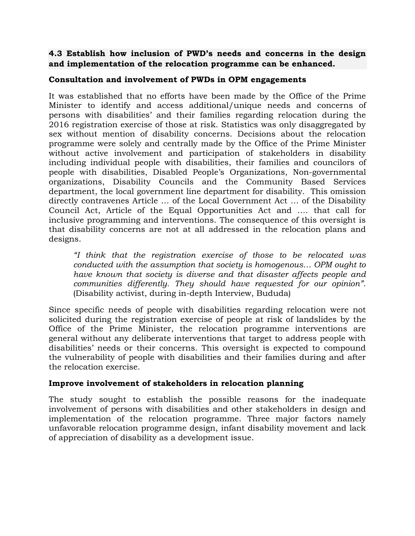### **4.3 Establish how inclusion of PWD's needs and concerns in the design and implementation of the relocation programme can be enhanced.**

#### **Consultation and involvement of PWDs in OPM engagements**

It was established that no efforts have been made by the Office of the Prime Minister to identify and access additional/unique needs and concerns of persons with disabilities' and their families regarding relocation during the 2016 registration exercise of those at risk. Statistics was only disaggregated by sex without mention of disability concerns. Decisions about the relocation programme were solely and centrally made by the Office of the Prime Minister without active involvement and participation of stakeholders in disability including individual people with disabilities, their families and councilors of people with disabilities, Disabled People's Organizations, Non-governmental organizations, Disability Councils and the Community Based Services department, the local government line department for disability. This omission directly contravenes Article … of the Local Government Act … of the Disability Council Act, Article of the Equal Opportunities Act and …. that call for inclusive programming and interventions. The consequence of this oversight is that disability concerns are not at all addressed in the relocation plans and designs.

*"I think that the registration exercise of those to be relocated was conducted with the assumption that society is homogenous… OPM ought to have known that society is diverse and that disaster affects people and communities differently. They should have requested for our opinion".* (Disability activist, during in-depth Interview, Bududa)

Since specific needs of people with disabilities regarding relocation were not solicited during the registration exercise of people at risk of landslides by the Office of the Prime Minister, the relocation programme interventions are general without any deliberate interventions that target to address people with disabilities' needs or their concerns. This oversight is expected to compound the vulnerability of people with disabilities and their families during and after the relocation exercise.

## **Improve involvement of stakeholders in relocation planning**

The study sought to establish the possible reasons for the inadequate involvement of persons with disabilities and other stakeholders in design and implementation of the relocation programme. Three major factors namely unfavorable relocation programme design, infant disability movement and lack of appreciation of disability as a development issue.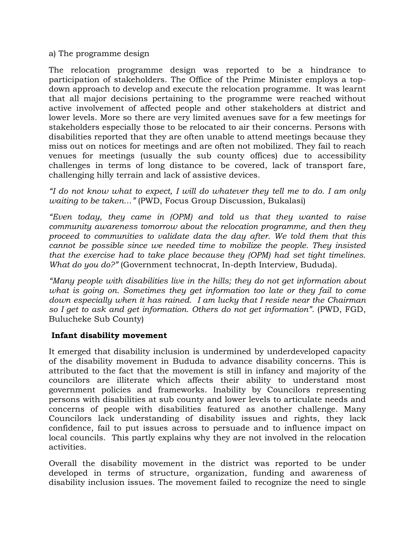a) The programme design

The relocation programme design was reported to be a hindrance to participation of stakeholders. The Office of the Prime Minister employs a topdown approach to develop and execute the relocation programme. It was learnt that all major decisions pertaining to the programme were reached without active involvement of affected people and other stakeholders at district and lower levels. More so there are very limited avenues save for a few meetings for stakeholders especially those to be relocated to air their concerns. Persons with disabilities reported that they are often unable to attend meetings because they miss out on notices for meetings and are often not mobilized. They fail to reach venues for meetings (usually the sub county offices) due to accessibility challenges in terms of long distance to be covered, lack of transport fare, challenging hilly terrain and lack of assistive devices.

*"I do not know what to expect, I will do whatever they tell me to do. I am only waiting to be taken…"* (PWD, Focus Group Discussion, Bukalasi)

*"Even today, they came in (OPM) and told us that they wanted to raise community awareness tomorrow about the relocation programme, and then they proceed to communities to validate data the day after. We told them that this cannot be possible since we needed time to mobilize the people. They insisted that the exercise had to take place because they (OPM) had set tight timelines. What do you do?"* (Government technocrat, In-depth Interview, Bududa).

*"Many people with disabilities live in the hills; they do not get information about what is going on. Sometimes they get information too late or they fail to come down especially when it has rained. I am lucky that I reside near the Chairman so I get to ask and get information. Others do not get information".* (PWD, FGD, Bulucheke Sub County)

#### **Infant disability movement**

It emerged that disability inclusion is undermined by underdeveloped capacity of the disability movement in Bududa to advance disability concerns. This is attributed to the fact that the movement is still in infancy and majority of the councilors are illiterate which affects their ability to understand most government policies and frameworks. Inability by Councilors representing persons with disabilities at sub county and lower levels to articulate needs and concerns of people with disabilities featured as another challenge. Many Councilors lack understanding of disability issues and rights, they lack confidence, fail to put issues across to persuade and to influence impact on local councils. This partly explains why they are not involved in the relocation activities.

Overall the disability movement in the district was reported to be under developed in terms of structure, organization, funding and awareness of disability inclusion issues. The movement failed to recognize the need to single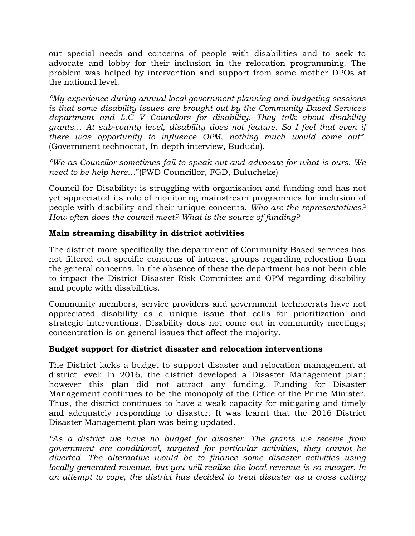out special needs and concerns of people with disabilities and to seek to advocate and lobby for their inclusion in the relocation programming. The problem was helped by intervention and support from some mother DPOs at the national level.

*"My experience during annual local government planning and budgeting sessions is that some disability issues are brought out by the Community Based Services department and L.C V Councilors for disability. They talk about disability grants… At sub-county level, disability does not feature. So I feel that even if there was opportunity to influence OPM, nothing much would come out".* (Government technocrat, In-depth interview, Bududa).

*"We as Councilor sometimes fail to speak out and advocate for what is ours. We need to be help here*…"(PWD Councillor, FGD, Bulucheke)

Council for Disability: is struggling with organisation and funding and has not yet appreciated its role of monitoring mainstream programmes for inclusion of people with disability and their unique concerns. *Who are the representatives? How often does the council meet? What is the source of funding?*

## **Main streaming disability in district activities**

The district more specifically the department of Community Based services has not filtered out specific concerns of interest groups regarding relocation from the general concerns. In the absence of these the department has not been able to impact the District Disaster Risk Committee and OPM regarding disability and people with disabilities.

Community members, service providers and government technocrats have not appreciated disability as a unique issue that calls for prioritization and strategic interventions. Disability does not come out in community meetings; concentration is on general issues that affect the majority.

## **Budget support for district disaster and relocation interventions**

The District lacks a budget to support disaster and relocation management at district level: In 2016, the district developed a Disaster Management plan; however this plan did not attract any funding. Funding for Disaster Management continues to be the monopoly of the Office of the Prime Minister. Thus, the district continues to have a weak capacity for mitigating and timely and adequately responding to disaster. It was learnt that the 2016 District Disaster Management plan was being updated.

*"As a district we have no budget for disaster. The grants we receive from government are conditional, targeted for particular activities, they cannot be diverted. The alternative would be to finance some disaster activities using locally generated revenue, but you will realize the local revenue is so meager. In an attempt to cope, the district has decided to treat disaster as a cross cutting*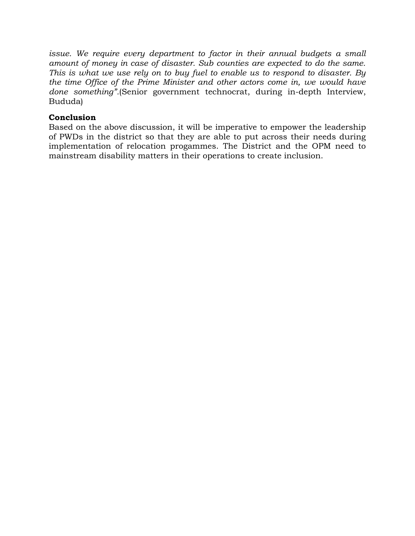*issue. We require every department to factor in their annual budgets a small amount of money in case of disaster. Sub counties are expected to do the same. This is what we use rely on to buy fuel to enable us to respond to disaster. By the time Office of the Prime Minister and other actors come in, we would have done something".*(Senior government technocrat, during in-depth Interview, Bududa)

### **Conclusion**

Based on the above discussion, it will be imperative to empower the leadership of PWDs in the district so that they are able to put across their needs during implementation of relocation progammes. The District and the OPM need to mainstream disability matters in their operations to create inclusion.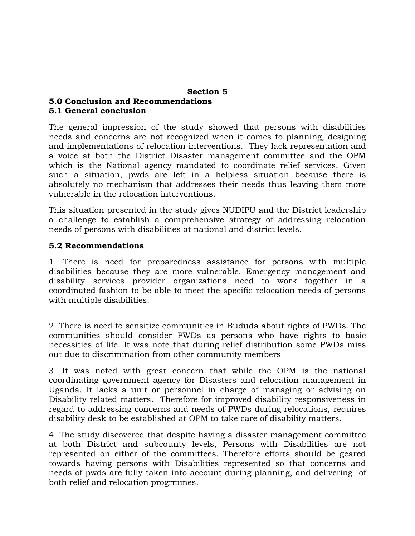#### **Section 5 5.0 Conclusion and Recommendations 5.1 General conclusion**

The general impression of the study showed that persons with disabilities needs and concerns are not recognized when it comes to planning, designing and implementations of relocation interventions. They lack representation and a voice at both the District Disaster management committee and the OPM which is the National agency mandated to coordinate relief services. Given such a situation, pwds are left in a helpless situation because there is absolutely no mechanism that addresses their needs thus leaving them more vulnerable in the relocation interventions.

This situation presented in the study gives NUDIPU and the District leadership a challenge to establish a comprehensive strategy of addressing relocation needs of persons with disabilities at national and district levels.

### **5.2 Recommendations**

1. There is need for preparedness assistance for persons with multiple disabilities because they are more vulnerable. Emergency management and disability services provider organizations need to work together in a coordinated fashion to be able to meet the specific relocation needs of persons with multiple disabilities.

2. There is need to sensitize communities in Bududa about rights of PWDs. The communities should consider PWDs as persons who have rights to basic necessities of life. It was note that during relief distribution some PWDs miss out due to discrimination from other community members

3. It was noted with great concern that while the OPM is the national coordinating government agency for Disasters and relocation management in Uganda. It lacks a unit or personnel in charge of managing or advising on Disability related matters. Therefore for improved disability responsiveness in regard to addressing concerns and needs of PWDs during relocations, requires disability desk to be established at OPM to take care of disability matters.

4. The study discovered that despite having a disaster management committee at both District and subcounty levels, Persons with Disabilities are not represented on either of the committees. Therefore efforts should be geared towards having persons with Disabilities represented so that concerns and needs of pwds are fully taken into account during planning, and delivering of both relief and relocation progrmmes.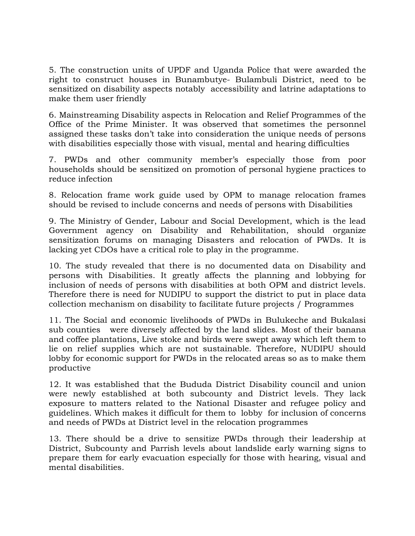5. The construction units of UPDF and Uganda Police that were awarded the right to construct houses in Bunambutye- Bulambuli District, need to be sensitized on disability aspects notably accessibility and latrine adaptations to make them user friendly

6. Mainstreaming Disability aspects in Relocation and Relief Programmes of the Office of the Prime Minister. It was observed that sometimes the personnel assigned these tasks don't take into consideration the unique needs of persons with disabilities especially those with visual, mental and hearing difficulties

7. PWDs and other community member's especially those from poor households should be sensitized on promotion of personal hygiene practices to reduce infection

8. Relocation frame work guide used by OPM to manage relocation frames should be revised to include concerns and needs of persons with Disabilities

9. The Ministry of Gender, Labour and Social Development, which is the lead Government agency on Disability and Rehabilitation, should organize sensitization forums on managing Disasters and relocation of PWDs. It is lacking yet CDOs have a critical role to play in the programme.

10. The study revealed that there is no documented data on Disability and persons with Disabilities. It greatly affects the planning and lobbying for inclusion of needs of persons with disabilities at both OPM and district levels. Therefore there is need for NUDIPU to support the district to put in place data collection mechanism on disability to facilitate future projects / Programmes

11. The Social and economic livelihoods of PWDs in Bulukeche and Bukalasi sub counties were diversely affected by the land slides. Most of their banana and coffee plantations, Live stoke and birds were swept away which left them to lie on relief supplies which are not sustainable. Therefore, NUDIPU should lobby for economic support for PWDs in the relocated areas so as to make them productive

12. It was established that the Bududa District Disability council and union were newly established at both subcounty and District levels. They lack exposure to matters related to the National Disaster and refugee policy and guidelines. Which makes it difficult for them to lobby for inclusion of concerns and needs of PWDs at District level in the relocation programmes

13. There should be a drive to sensitize PWDs through their leadership at District, Subcounty and Parrish levels about landslide early warning signs to prepare them for early evacuation especially for those with hearing, visual and mental disabilities.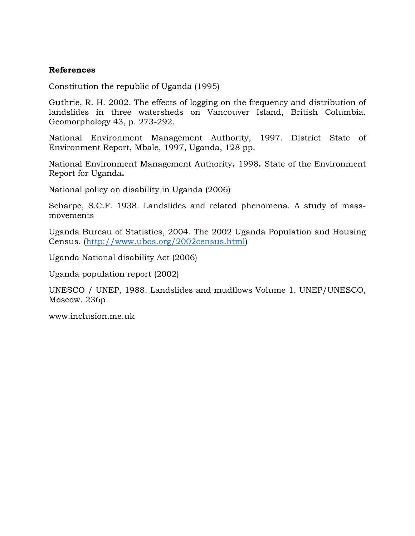#### **References**

Constitution the republic of Uganda (1995)

Guthrie, R. H. 2002. The effects of logging on the frequency and distribution of landslides in three watersheds on Vancouver Island, British Columbia. Geomorphology 43, p. 273-292.

National Environment Management Authority, 1997. District State of Environment Report, Mbale, 1997, Uganda, 128 pp.

National Environment Management Authority**.** 1998**.** State of the Environment Report for Uganda**.** 

National policy on disability in Uganda (2006)

Scharpe, S.C.F. 1938. Landslides and related phenomena. A study of massmovements

Uganda Bureau of Statistics, 2004. The 2002 Uganda Population and Housing Census. [\(http://www.ubos.org/2002census.html\)](http://www.ubos.org/2002census.html)

Uganda National disability Act (2006)

Uganda population report (2002)

UNESCO / UNEP, 1988. Landslides and mudflows Volume 1. UNEP/UNESCO, Moscow. 236p

www.inclusion.me.uk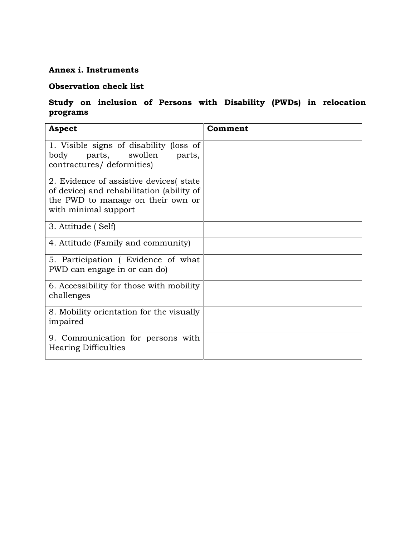## **Annex i. Instruments**

## **Observation check list**

# **Study on inclusion of Persons with Disability (PWDs) in relocation programs**

| <b>Aspect</b>                                                                                                                                     | Comment |
|---------------------------------------------------------------------------------------------------------------------------------------------------|---------|
| 1. Visible signs of disability (loss of<br>swollen<br>body<br>parts,<br>parts,<br>contractures/ deformities)                                      |         |
| 2. Evidence of assistive devices (state<br>of device) and rehabilitation (ability of<br>the PWD to manage on their own or<br>with minimal support |         |
| 3. Attitude (Self)                                                                                                                                |         |
| 4. Attitude (Family and community)                                                                                                                |         |
| 5. Participation (Evidence of what<br>PWD can engage in or can do                                                                                 |         |
| 6. Accessibility for those with mobility<br>challenges                                                                                            |         |
| 8. Mobility orientation for the visually<br>impaired                                                                                              |         |
| 9. Communication for persons with<br><b>Hearing Difficulties</b>                                                                                  |         |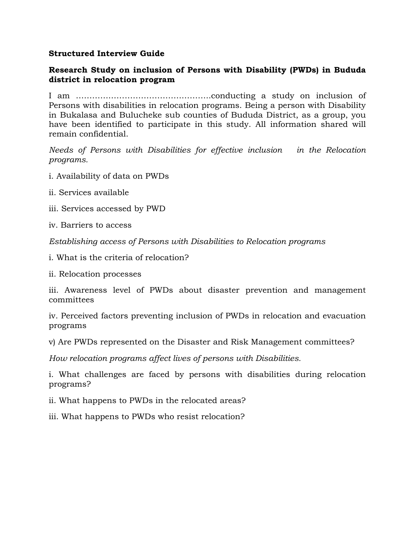#### **Structured Interview Guide**

### **Research Study on inclusion of Persons with Disability (PWDs) in Bududa district in relocation program**

I am …………………………………………..conducting a study on inclusion of Persons with disabilities in relocation programs. Being a person with Disability in Bukalasa and Bulucheke sub counties of Bududa District, as a group, you have been identified to participate in this study. All information shared will remain confidential.

*Needs of Persons with Disabilities for effective inclusion in the Relocation programs.*

- i. Availability of data on PWDs
- ii. Services available
- iii. Services accessed by PWD

iv. Barriers to access

*Establishing access of Persons with Disabilities to Relocation programs* 

i. What is the criteria of relocation?

ii. Relocation processes

iii. Awareness level of PWDs about disaster prevention and management committees

iv. Perceived factors preventing inclusion of PWDs in relocation and evacuation programs

v) Are PWDs represented on the Disaster and Risk Management committees?

*How relocation programs affect lives of persons with Disabilities.*

i. What challenges are faced by persons with disabilities during relocation programs?

ii. What happens to PWDs in the relocated areas?

iii. What happens to PWDs who resist relocation?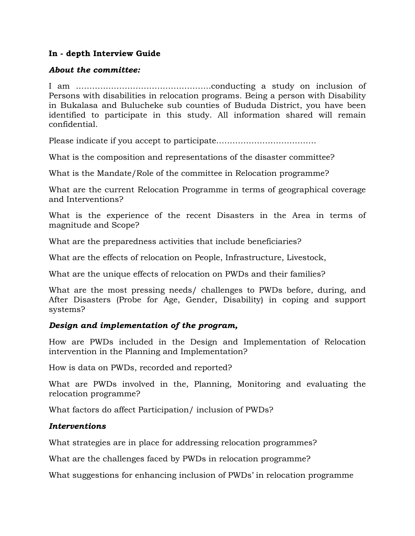### **In - depth Interview Guide**

### *About the committee:*

I am …………………………………………..conducting a study on inclusion of Persons with disabilities in relocation programs. Being a person with Disability in Bukalasa and Bulucheke sub counties of Bududa District, you have been identified to participate in this study. All information shared will remain confidential.

Please indicate if you accept to participate……………………………….

What is the composition and representations of the disaster committee?

What is the Mandate/Role of the committee in Relocation programme?

What are the current Relocation Programme in terms of geographical coverage and Interventions?

What is the experience of the recent Disasters in the Area in terms of magnitude and Scope?

What are the preparedness activities that include beneficiaries?

What are the effects of relocation on People, Infrastructure, Livestock,

What are the unique effects of relocation on PWDs and their families?

What are the most pressing needs/ challenges to PWDs before, during, and After Disasters (Probe for Age, Gender, Disability) in coping and support systems?

## *Design and implementation of the program,*

How are PWDs included in the Design and Implementation of Relocation intervention in the Planning and Implementation?

How is data on PWDs, recorded and reported?

What are PWDs involved in the, Planning, Monitoring and evaluating the relocation programme?

What factors do affect Participation/ inclusion of PWDs?

## *Interventions*

What strategies are in place for addressing relocation programmes?

What are the challenges faced by PWDs in relocation programme?

What suggestions for enhancing inclusion of PWDs' in relocation programme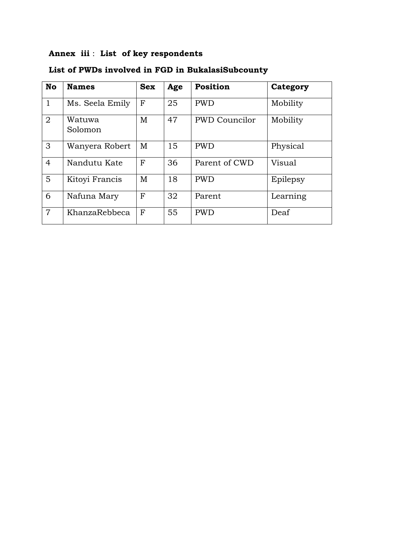# **Annex iii** : **List of key respondents**

| <b>No</b>      | <b>Names</b>      | <b>Sex</b> | Age | Position             | Category |
|----------------|-------------------|------------|-----|----------------------|----------|
| $\mathbf{1}$   | Ms. Seela Emily   | F          | 25  | <b>PWD</b>           | Mobility |
| $\overline{2}$ | Watuwa<br>Solomon | M          | 47  | <b>PWD Councilor</b> | Mobility |
| 3              | Wanyera Robert    | M          | 15  | <b>PWD</b>           | Physical |
| 4              | Nandutu Kate      | F          | 36  | Parent of CWD        | Visual   |
| $5^{\circ}$    | Kitoyi Francis    | М          | 18  | <b>PWD</b>           | Epilepsy |
| 6              | Nafuna Mary       | F          | 32  | Parent               | Learning |
| $\overline{7}$ | KhanzaRebbeca     | F          | 55  | <b>PWD</b>           | Deaf     |

# **List of PWDs involved in FGD in BukalasiSubcounty**